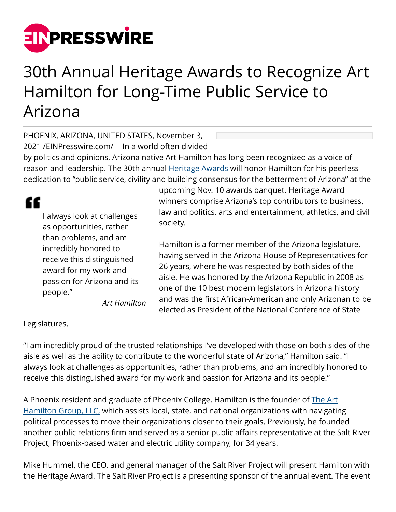

## 30th Annual Heritage Awards to Recognize Art Hamilton for Long-Time Public Service to Arizona

PHOENIX, ARIZONA, UNITED STATES, November 3, 2021 /[EINPresswire.com](http://www.einpresswire.com)/ -- In a world often divided

by politics and opinions, Arizona native Art Hamilton has long been recognized as a voice of reason and leadership. The 30th annual **[Heritage Awards](http://azchamber.chambermaster.com/events/details/2021-heritage-award-dinner-235847.) will honor Hamilton for his peerless** dedication to "public service, civility and building consensus for the betterment of Arizona" at the

## ££

I always look at challenges as opportunities, rather than problems, and am incredibly honored to receive this distinguished award for my work and passion for Arizona and its people." *Art Hamilton* upcoming Nov. 10 awards banquet. Heritage Award winners comprise Arizona's top contributors to business, law and politics, arts and entertainment, athletics, and civil society.

Hamilton is a former member of the Arizona legislature, having served in the Arizona House of Representatives for 26 years, where he was respected by both sides of the aisle. He was honored by the Arizona Republic in 2008 as one of the 10 best modern legislators in Arizona history and was the first African-American and only Arizonan to be elected as President of the National Conference of State

Legislatures.

"I am incredibly proud of the trusted relationships I've developed with those on both sides of the aisle as well as the ability to contribute to the wonderful state of Arizona," Hamilton said. "I always look at challenges as opportunities, rather than problems, and am incredibly honored to receive this distinguished award for my work and passion for Arizona and its people."

A Phoenix resident and graduate of Phoenix College, Hamilton is the founder of [The Art](http://www.thearthamiltongroup.com/about/) [Hamilton Group, LLC,](http://www.thearthamiltongroup.com/about/) which assists local, state, and national organizations with navigating political processes to move their organizations closer to their goals. Previously, he founded another public relations firm and served as a senior public affairs representative at the Salt River Project, Phoenix-based water and electric utility company, for 34 years.

Mike Hummel, the CEO, and general manager of the Salt River Project will present Hamilton with the Heritage Award. The Salt River Project is a presenting sponsor of the annual event. The event